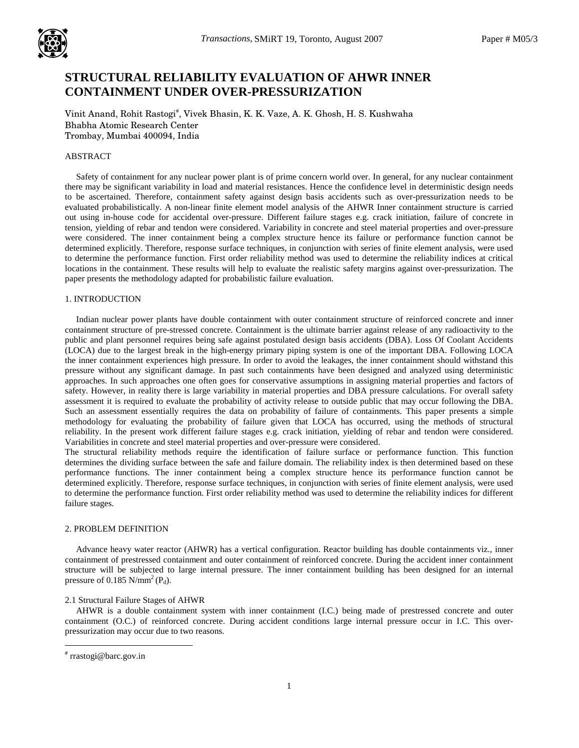

# **STRUCTURAL RELIABILITY EVALUATION OF AHWR INNER CONTAINMENT UNDER OVER-PRESSURIZATION**

Vinit Anand, Rohit Rastogi<sup>#</sup>, Vivek Bhasin, K. K. Vaze, A. K. Ghosh, H. S. Kushwaha Bhabha Atomic Research Center Trombay, Mumbai 400094, India

# ABSTRACT

 Safety of containment for any nuclear power plant is of prime concern world over. In general, for any nuclear containment there may be significant variability in load and material resistances. Hence the confidence level in deterministic design needs to be ascertained. Therefore, containment safety against design basis accidents such as over-pressurization needs to be evaluated probabilistically. A non-linear finite element model analysis of the AHWR Inner containment structure is carried out using in-house code for accidental over-pressure. Different failure stages e.g. crack initiation, failure of concrete in tension, yielding of rebar and tendon were considered. Variability in concrete and steel material properties and over-pressure were considered. The inner containment being a complex structure hence its failure or performance function cannot be determined explicitly. Therefore, response surface techniques, in conjunction with series of finite element analysis, were used to determine the performance function. First order reliability method was used to determine the reliability indices at critical locations in the containment. These results will help to evaluate the realistic safety margins against over-pressurization. The paper presents the methodology adapted for probabilistic failure evaluation.

# 1. INTRODUCTION

 Indian nuclear power plants have double containment with outer containment structure of reinforced concrete and inner containment structure of pre-stressed concrete. Containment is the ultimate barrier against release of any radioactivity to the public and plant personnel requires being safe against postulated design basis accidents (DBA). Loss Of Coolant Accidents (LOCA) due to the largest break in the high-energy primary piping system is one of the important DBA. Following LOCA the inner containment experiences high pressure. In order to avoid the leakages, the inner containment should withstand this pressure without any significant damage. In past such containments have been designed and analyzed using deterministic approaches. In such approaches one often goes for conservative assumptions in assigning material properties and factors of safety. However, in reality there is large variability in material properties and DBA pressure calculations. For overall safety assessment it is required to evaluate the probability of activity release to outside public that may occur following the DBA. Such an assessment essentially requires the data on probability of failure of containments. This paper presents a simple methodology for evaluating the probability of failure given that LOCA has occurred, using the methods of structural reliability. In the present work different failure stages e.g. crack initiation, yielding of rebar and tendon were considered. Variabilities in concrete and steel material properties and over-pressure were considered.

The structural reliability methods require the identification of failure surface or performance function. This function determines the dividing surface between the safe and failure domain. The reliability index is then determined based on these performance functions. The inner containment being a complex structure hence its performance function cannot be determined explicitly. Therefore, response surface techniques, in conjunction with series of finite element analysis, were used to determine the performance function. First order reliability method was used to determine the reliability indices for different failure stages.

# 2. PROBLEM DEFINITION

 Advance heavy water reactor (AHWR) has a vertical configuration. Reactor building has double containments viz., inner containment of prestressed containment and outer containment of reinforced concrete. During the accident inner containment structure will be subjected to large internal pressure. The inner containment building has been designed for an internal pressure of 0.185  $N/mm^2 (P_d)$ .

#### 2.1 Structural Failure Stages of AHWR

 AHWR is a double containment system with inner containment (I.C.) being made of prestressed concrete and outer containment (O.C.) of reinforced concrete. During accident conditions large internal pressure occur in I.C. This overpressurization may occur due to two reasons.

 $\overline{a}$ 

<sup>#</sup> rrastogi@barc.gov.in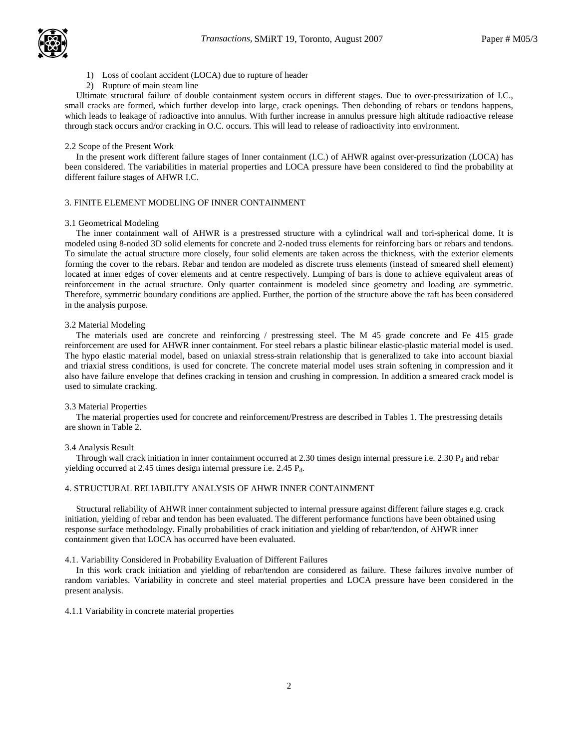

- 1) Loss of coolant accident (LOCA) due to rupture of header
- 2) Rupture of main steam line

 Ultimate structural failure of double containment system occurs in different stages. Due to over-pressurization of I.C., small cracks are formed, which further develop into large, crack openings. Then debonding of rebars or tendons happens, which leads to leakage of radioactive into annulus. With further increase in annulus pressure high altitude radioactive release through stack occurs and/or cracking in O.C. occurs. This will lead to release of radioactivity into environment.

#### 2.2 Scope of the Present Work

 In the present work different failure stages of Inner containment (I.C.) of AHWR against over-pressurization (LOCA) has been considered. The variabilities in material properties and LOCA pressure have been considered to find the probability at different failure stages of AHWR I.C.

# 3. FINITE ELEMENT MODELING OF INNER CONTAINMENT

#### 3.1 Geometrical Modeling

 The inner containment wall of AHWR is a prestressed structure with a cylindrical wall and tori-spherical dome. It is modeled using 8-noded 3D solid elements for concrete and 2-noded truss elements for reinforcing bars or rebars and tendons. To simulate the actual structure more closely, four solid elements are taken across the thickness, with the exterior elements forming the cover to the rebars. Rebar and tendon are modeled as discrete truss elements (instead of smeared shell element) located at inner edges of cover elements and at centre respectively. Lumping of bars is done to achieve equivalent areas of reinforcement in the actual structure. Only quarter containment is modeled since geometry and loading are symmetric. Therefore, symmetric boundary conditions are applied. Further, the portion of the structure above the raft has been considered in the analysis purpose.

#### 3.2 Material Modeling

 The materials used are concrete and reinforcing / prestressing steel. The M 45 grade concrete and Fe 415 grade reinforcement are used for AHWR inner containment. For steel rebars a plastic bilinear elastic-plastic material model is used. The hypo elastic material model, based on uniaxial stress-strain relationship that is generalized to take into account biaxial and triaxial stress conditions, is used for concrete. The concrete material model uses strain softening in compression and it also have failure envelope that defines cracking in tension and crushing in compression. In addition a smeared crack model is used to simulate cracking.

#### 3.3 Material Properties

 The material properties used for concrete and reinforcement/Prestress are described in Tables 1. The prestressing details are shown in Table 2.

#### 3.4 Analysis Result

Through wall crack initiation in inner containment occurred at 2.30 times design internal pressure i.e. 2.30  $P_d$  and rebar yielding occurred at 2.45 times design internal pressure i.e.  $2.45 P_d$ .

## 4. STRUCTURAL RELIABILITY ANALYSIS OF AHWR INNER CONTAINMENT

 Structural reliability of AHWR inner containment subjected to internal pressure against different failure stages e.g. crack initiation, yielding of rebar and tendon has been evaluated. The different performance functions have been obtained using response surface methodology. Finally probabilities of crack initiation and yielding of rebar/tendon, of AHWR inner containment given that LOCA has occurred have been evaluated.

4.1. Variability Considered in Probability Evaluation of Different Failures

 In this work crack initiation and yielding of rebar/tendon are considered as failure. These failures involve number of random variables. Variability in concrete and steel material properties and LOCA pressure have been considered in the present analysis.

#### 4.1.1 Variability in concrete material properties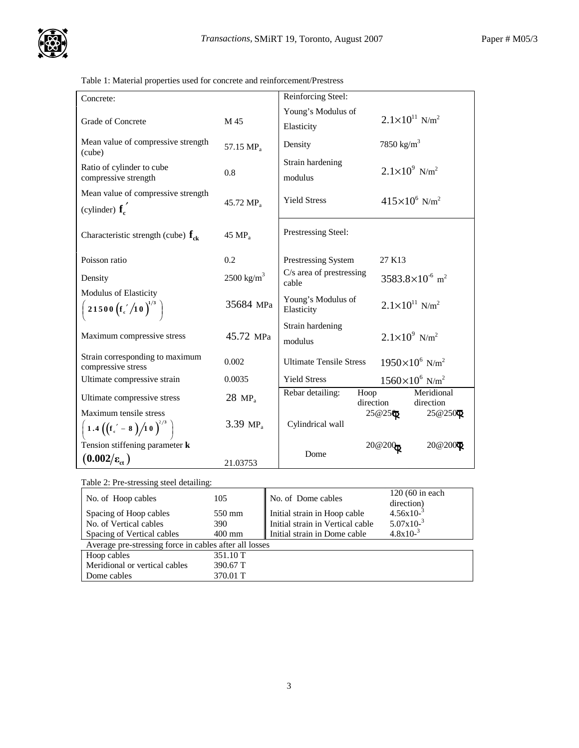Table 1: Material properties used for concrete and reinforcement/Prestress

| Concrete:                                                               |                       | Reinforcing Steel:                  |                                       |
|-------------------------------------------------------------------------|-----------------------|-------------------------------------|---------------------------------------|
|                                                                         |                       | Young's Modulus of                  | $2.1 \times 10^{11}$ N/m <sup>2</sup> |
| <b>Grade of Concrete</b>                                                | M 45                  | Elasticity                          |                                       |
| Mean value of compressive strength<br>(cube)                            | 57.15 MP <sub>a</sub> | Density                             | 7850 kg/m <sup>3</sup>                |
| Ratio of cylinder to cube<br>compressive strength                       | 0.8                   | Strain hardening<br>modulus         | $2.1 \times 10^{9}$ N/m <sup>2</sup>  |
| Mean value of compressive strength<br>(cylinder) $f_c$                  | 45.72 MP <sub>a</sub> | <b>Yield Stress</b>                 | $415\times10^{6}$ N/m <sup>2</sup>    |
| Characteristic strength (cube) $f_{ck}$                                 | 45 MP <sub>a</sub>    | Prestressing Steel:                 |                                       |
| Poisson ratio                                                           | 0.2                   | Prestressing System                 | 27 K13                                |
| Density                                                                 | $2500 \text{ kg/m}^3$ | $C/s$ area of prestressing<br>cable | $3583.8\times10^{-6}$ m <sup>2</sup>  |
| Modulus of Elasticity<br>21500 $(f_c'/10)^{1/3}$                        | 35684 MPa             | Young's Modulus of<br>Elasticity    | $2.1 \times 10^{11}$ N/m <sup>2</sup> |
| Maximum compressive stress                                              | 45.72 MPa             | Strain hardening<br>modulus         | $2.1 \times 10^9$ N/m <sup>2</sup>    |
| Strain corresponding to maximum<br>compressive stress                   | 0.002                 | <b>Ultimate Tensile Stress</b>      | $1950\times10^6$ N/m <sup>2</sup>     |
| Ultimate compressive strain                                             | 0.0035                | <b>Yield Stress</b>                 | $1560\times10^{6}$ N/m <sup>2</sup>   |
| Ultimate compressive stress                                             | $28 \text{ MP}_3$     | Rebar detailing:<br>Hoop            | Meridional<br>direction<br>direction  |
| Maximum tensile stress<br>1.4 $((f_c^{\prime} - 8)/10)^{2/3}$           | 3.39 $MP_a$           | Cylindrical wall                    | $25@25$ <sup>®</sup><br>25@250 $Q$    |
| Tension stiffening parameter <b>k</b><br>$(0.002/\varepsilon_{\rm ct})$ | 21.03753              | Dome                                | 20@200Q<br>20@200                     |
|                                                                         |                       |                                     |                                       |

| Table 2: Pre-stressing steel detailing:                |                  |                                  |                                 |  |  |
|--------------------------------------------------------|------------------|----------------------------------|---------------------------------|--|--|
| No. of Hoop cables                                     | 105              | No. of Dome cables               | $120(60)$ in each<br>direction) |  |  |
| Spacing of Hoop cables                                 | 550 mm           | Initial strain in Hoop cable     | $4.56x10^{-3}$                  |  |  |
| No. of Vertical cables                                 | 390              | Initial strain in Vertical cable | $5.07 \times 10^{-3}$           |  |  |
| Spacing of Vertical cables                             | $400 \text{ mm}$ | Initial strain in Dome cable     | $4.8x10^{-3}$                   |  |  |
| Average pre-stressing force in cables after all losses |                  |                                  |                                 |  |  |
| Hoop cables                                            | 351.10 T         |                                  |                                 |  |  |
| Meridional or vertical cables                          | 390.67 T         |                                  |                                 |  |  |
| Dome cables                                            | 370.01 T         |                                  |                                 |  |  |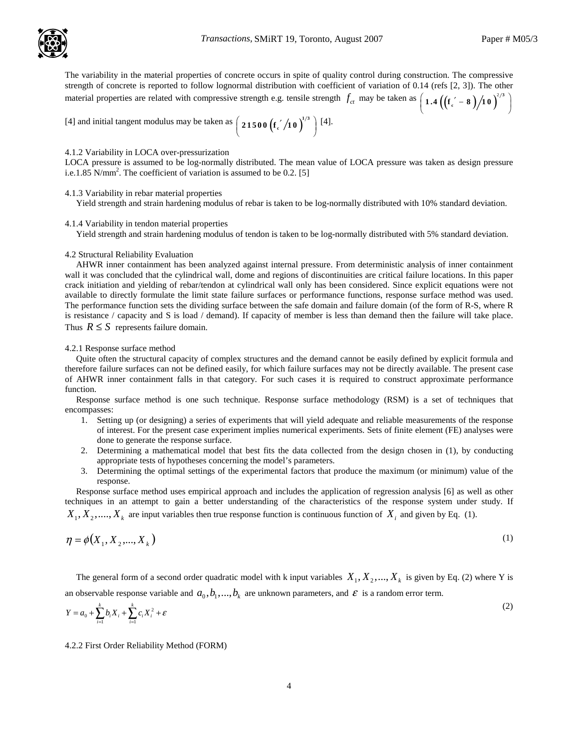The variability in the material properties of concrete occurs in spite of quality control during construction. The compressive . strength of concrete is reported to follow lognormal distribution with coefficient of variation of 0.14 (refs [2, 3]). The other material properties are related with compressive strength e.g. tensile strength  $f_{ct}$  may be taken as  $(1.4((f_c - 8)/10)^{2/3})$ **1** .4  $\left( \left( \frac{\mathbf{f}}{\mathbf{f}_c} - \mathbf{8} \right) \right)$  1 0  $\right)^{2/3}$ 

[4] and initial tangent modulus may be taken as 
$$
\left(21500 \left(\frac{1}{21500}\right)^{1/3}\right)
$$
 [4].

## 4.1.2 Variability in LOCA over-pressurization

LOCA pressure is assumed to be log-normally distributed. The mean value of LOCA pressure was taken as design pressure i.e.1.85 N/mm<sup>2</sup>. The coefficient of variation is assumed to be 0.2. [5]

4.1.3 Variability in rebar material properties

Yield strength and strain hardening modulus of rebar is taken to be log-normally distributed with 10% standard deviation.

#### 4.1.4 Variability in tendon material properties

Yield strength and strain hardening modulus of tendon is taken to be log-normally distributed with 5% standard deviation.

#### 4.2 Structural Reliability Evaluation

 AHWR inner containment has been analyzed against internal pressure. From deterministic analysis of inner containment wall it was concluded that the cylindrical wall, dome and regions of discontinuities are critical failure locations. In this paper crack initiation and yielding of rebar/tendon at cylindrical wall only has been considered. Since explicit equations were not available to directly formulate the limit state failure surfaces or performance functions, response surface method was used. The performance function sets the dividing surface between the safe domain and failure domain (of the form of R-S, where R is resistance / capacity and S is load / demand). If capacity of member is less than demand then the failure will take place. Thus  $R \leq S$  represents failure domain.

#### 4.2.1 Response surface method

 Quite often the structural capacity of complex structures and the demand cannot be easily defined by explicit formula and therefore failure surfaces can not be defined easily, for which failure surfaces may not be directly available. The present case of AHWR inner containment falls in that category. For such cases it is required to construct approximate performance function.

 Response surface method is one such technique. Response surface methodology (RSM) is a set of techniques that encompasses:

- 1. Setting up (or designing) a series of experiments that will yield adequate and reliable measurements of the response of interest. For the present case experiment implies numerical experiments. Sets of finite element (FE) analyses were done to generate the response surface.
- 2. Determining a mathematical model that best fits the data collected from the design chosen in (1), by conducting appropriate tests of hypotheses concerning the model' s parameters.
- 3. Determining the optimal settings of the experimental factors that produce the maximum (or minimum) value of the response.

 Response surface method uses empirical approach and includes the application of regression analysis [6] as well as other techniques in an attempt to gain a better understanding of the characteristics of the response system under study. If  $X_1, X_2, \ldots, X_k$  are input variables then true response function is continuous function of  $X_i$  and given by Eq. (1).

$$
\eta = \phi(X_1, X_2, \dots, X_k) \tag{1}
$$

The general form of a second order quadratic model with k input variables  $X_1, X_2, ..., X_k$  is given by Eq. (2) where Y is an observable response variable and  $a_0, b_1, ..., b_k$  are unknown parameters, and  $\varepsilon$  is a random error term.

$$
Y = a_0 + \sum_{i=1}^{k} b_i X_i + \sum_{i=1}^{k} c_i X_i^2 + \varepsilon
$$
 (2)

4.2.2 First Order Reliability Method (FORM)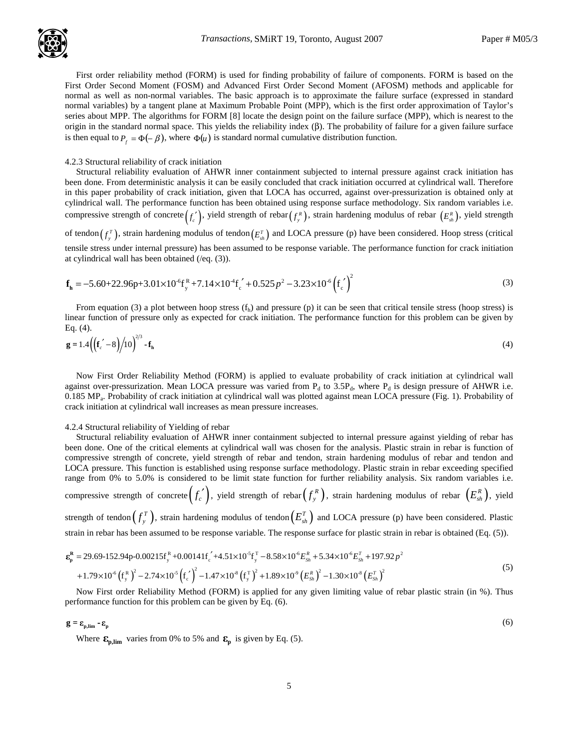First order reliability method (FORM) is used for finding probability of failure of components. FORM is based on the First Order Second Moment (FOSM) and Advanced First Order Second Moment (AFOSM) methods and applicable for normal as well as non-normal variables. The basic approach is to approximate the failure surface (expressed in standard normal variables) by a tangent plane at Maximum Probable Point (MPP), which is the first order approximation of Taylor' s series about MPP. The algorithms for FORM [8] locate the design point on the failure surface (MPP), which is nearest to the origin in the standard normal space. This yields the reliability index  $(β)$ . The probability of failure for a given failure surface is then equal to  $P_f = \Phi(-\beta)$ , where  $\Phi(u)$  is standard normal cumulative distribution function.

#### 4.2.3 Structural reliability of crack initiation

 Structural reliability evaluation of AHWR inner containment subjected to internal pressure against crack initiation has been done. From deterministic analysis it can be easily concluded that crack initiation occurred at cylindrical wall. Therefore in this paper probability of crack initiation, given that LOCA has occurred, against over-pressurization is obtained only at cylindrical wall. The performance function has been obtained using response surface methodology. Six random variables i.e. compressive strength of concrete  $(f'_c)$ , yield strength of rebar  $(f''_s)$ , strain hardening modulus of rebar  $(E^R_{sh})$ , yield strength of tendon $(f_{y}^{T})$ , strain hardening modulus of tendon $(E_{sh}^{T})$  and LOCA pressure (p) have been considered. Hoop stress (critical tensile stress under internal pressure) has been assumed to be response variable. The performance function for crack initiation at cylindrical wall has been obtained (/eq. (3)).

$$
\mathbf{f}_{h} = -5.60 + 22.96p + 3.01 \times 10^{6} \mathbf{f}_{y}^{R} + 7.14 \times 10^{4} \mathbf{f}_{c}^{'} + 0.525p^{2} - 3.23 \times 10^{6} (\mathbf{f}_{c}^{'} )^{2}
$$
\n(3)

From equation (3) a plot between hoop stress  $(f<sub>h</sub>)$  and pressure (p) it can be seen that critical tensile stress (hoop stress) is linear function of pressure only as expected for crack initiation. The performance function for this problem can be given by Eq. (4).

$$
\mathbf{g} = 1.4 \left( \left( \mathbf{f}_c' - 8 \right) / 10 \right)^{2/3} - \mathbf{f}_h \tag{4}
$$

 Now First Order Reliability Method (FORM) is applied to evaluate probability of crack initiation at cylindrical wall against over-pressurization. Mean LOCA pressure was varied from  $P_d$  to 3.5 $P_d$ , where  $P_d$  is design pressure of AHWR i.e. 0.185 MP<sup>a</sup> . Probability of crack initiation at cylindrical wall was plotted against mean LOCA pressure (Fig. 1). Probability of crack initiation at cylindrical wall increases as mean pressure increases.

#### 4.2.4 Structural reliability of Yielding of rebar

 Structural reliability evaluation of AHWR inner containment subjected to internal pressure against yielding of rebar has been done. One of the critical elements at cylindrical wall was chosen for the analysis. Plastic strain in rebar is function of compressive strength of concrete, yield strength of rebar and tendon, strain hardening modulus of rebar and tendon and LOCA pressure. This function is established using response surface methodology. Plastic strain in rebar exceeding specified range from 0% to 5.0% is considered to be limit state function for further reliability analysis. Six random variables i.e.

compressive strength of concrete $(f_c^{\;\prime})$ , yield strength of rebar $(f_y^{\,R})$ , strain hardening modulus of rebar  $\left(E_{\scriptscriptstyle sh}^{\,R}\right)$ , yield strength of tendon $(f_{y}^{T})$ , strain hardening modulus of tendon $(E_{sh}^{T})$  and LOCA pressure (p) have been considered. Plastic

strain in rebar has been assumed to be response variable. The response surface for plastic strain in rebar is obtained (Eq. (5)).

$$
\varepsilon_{\rm p}^{\rm R} = 29.69 \cdot 152.94 \text{p} - 0.00215 \text{f}_{\rm y}^{\rm R} + 0.00141 \text{f}_{\rm c}^2 + 4.51 \times 10^5 \text{f}_{\rm y}^{\rm T} - 8.58 \times 10^6 E_{\rm Sh}^{\rm R} + 5.34 \times 10^5 E_{\rm Sh}^{\rm T} + 197.92 p^2 + 1.79 \times 10^6 \left(\text{f}_{\rm y}^{\rm R}\right)^2 - 2.74 \times 10^5 \left(\text{f}_{\rm c}^{\rm T}\right)^2 - 1.47 \times 10^8 \left(\text{f}_{\rm y}^{\rm T}\right)^2 + 1.89 \times 10^9 \left(E_{\rm Sh}^{\rm R}\right)^2 - 1.30 \times 10^8 \left(E_{\rm Sh}^{\rm T}\right)^2
$$
\n(5)

 Now First order Reliability Method (FORM) is applied for any given limiting value of rebar plastic strain (in %). Thus performance function for this problem can be given by Eq. (6).

 $g = \varepsilon_{p,\text{lim}} - \varepsilon_p$  (6)

Where  $\epsilon_{p,\text{lim}}$  varies from 0% to 5% and  $\epsilon_p$  is given by Eq. (5).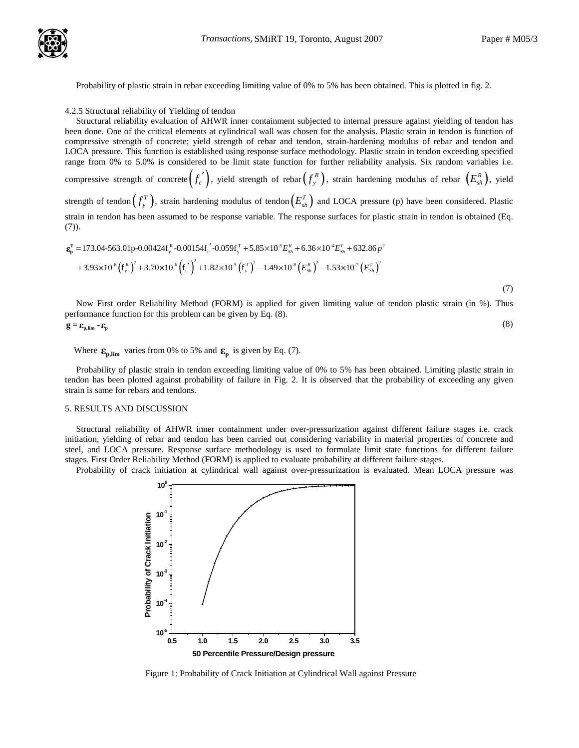Probability of plastic strain in rebar exceeding limiting value of 0% to 5% has been obtained. This is plotted in fig. 2.

4.2.5 Structural reliability of Yielding of tendon

 Structural reliability evaluation of AHWR inner containment subjected to internal pressure against yielding of tendon has been done. One of the critical elements at cylindrical wall was chosen for the analysis. Plastic strain in tendon is function of compressive strength of concrete; yield strength of rebar and tendon, strain-hardening modulus of rebar and tendon and LOCA pressure. This function is established using response surface methodology. Plastic strain in tendon exceeding specified range from 0% to 5.0% is considered to be limit state function for further reliability analysis. Six random variables i.e. compressive strength of concrete $(f_c^{\;\prime})$ , yield strength of rebar $(f_y^{\,R})$ , strain hardening modulus of rebar  $\left(E_{\scriptscriptstyle sh}^{\,R}\right)$ , yield strength of tendon $(f^T_y)$ , strain hardening modulus of tendon $\left(E^T_{sh}\right)$  and LOCA pressure (p) have been considered. Plastic strain in tendon has been assumed to be response variable. The response surfaces for plastic strain in tendon is obtained (Eq. (7)).

$$
\varepsilon_{\rm p}^{\rm T} = 173.04-563.01 \text{p} - 0.00424 \text{f}_{\rm y}^{\rm R} - 0.00154 \text{f}_{\rm c}^{\rm T} - 0.059 \text{f}_{\rm y}^{\rm T} + 5.85 \times 10^5 E_{\rm sh}^{\rm R} + 6.36 \times 10^4 E_{\rm sh}^{\rm T} + 632.86 \text{p}^2 + 3.93 \times 10^6 \left(\text{f}_{\rm y}^{\rm R}\right)^2 + 3.70 \times 10^6 \left(\text{f}_{\rm c}^{\rm T}\right)^2 + 1.82 \times 10^5 \left(\text{f}_{\rm y}^{\rm T}\right)^2 - 1.49 \times 10^8 \left(E_{\rm sh}^{\rm R}\right)^2 - 1.53 \times 10^7 \left(E_{\rm sh}^{\rm T}\right)^2 \tag{7}
$$

 Now First order Reliability Method (FORM) is applied for given limiting value of tendon plastic strain (in %). Thus performance function for this problem can be given by Eq. (8).

$$
\mathbf{g} = \mathbf{\varepsilon}_{\text{p,lim}} - \mathbf{\varepsilon}_{\text{p}} \tag{8}
$$

# Where  $\epsilon_{p,lim}$  varies from 0% to 5% and  $\epsilon_p$  is given by Eq. (7).

 Probability of plastic strain in tendon exceeding limiting value of 0% to 5% has been obtained. Limiting plastic strain in tendon has been plotted against probability of failure in Fig. 2. It is observed that the probability of exceeding any given strain is same for rebars and tendons.

### 5. RESULTS AND DISCUSSION

 Structural reliability of AHWR inner containment under over-pressurization against different failure stages i.e. crack initiation, yielding of rebar and tendon has been carried out considering variability in material properties of concrete and steel, and LOCA pressure. Response surface methodology is used to formulate limit state functions for different failure stages. First Order Reliability Method (FORM) is applied to evaluate probability at different failure stages.

Probability of crack initiation at cylindrical wall against over-pressurization is evaluated. Mean LOCA pressure was



Figure 1: Probability of Crack Initiation at Cylindrical Wall against Pressure